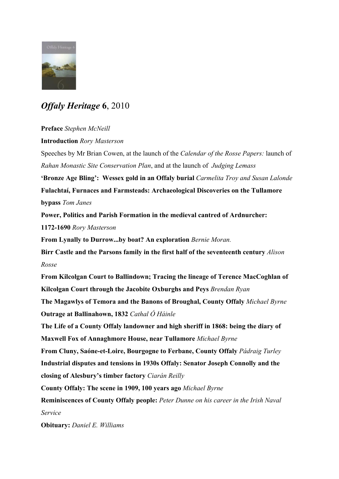

## *Offaly Heritage*  **6**, 2010

## **Preface** *Stephen McNeill*

**Introduction** *Rory Masterson*

Speeches by Mr Brian Cowen, at the launch of the *Calendar of the Rosse Papers:* launch of *Rahan Monastic Site Conservation Plan*, and at the launch of *Judging Lemass*

**'Bronze Age Bling': Wessex gold in an Offaly burial** *Carmelita Troy and Susan Lalonde* **Fulachtaí, Furnaces and Farmsteads: Archaeological Discoveries on the Tullamore bypass** *Tom Janes*

**Power, Politics and Parish Formation in the medieval cantred of Ardnurcher: 1172-1690** *Rory Masterson*

**From Lynally to Durrow...by boat? An exploration** *Bernie Moran.*

**Birr Castle and the Parsons family in the first half of the seventeenth century** *Alison Rosse*

**From Kilcolgan Court to Ballindown; Tracing the lineage of Terence MacCoghlan of Kilcolgan Court through the Jacobite Oxburghs and Peys** *Brendan Ryan*

**The Magawlys of Temora and the Banons of Broughal, County Offaly** *Michael Byrne* **Outrage at Ballinahown, 1832** *Cathal Ó Háinle*

**The Life of a County Offaly landowner and high sheriff in 1868: being the diary of Maxwell Fox of Annaghmore House, near Tullamore** *Michael Byrne*

**From Cluny, Saóne-et-Loire, Bourgogne to Ferbane, County Offaly** *Pádraig Turley* **Industrial disputes and tensions in 1930s Offaly: Senator Joseph Connolly and the closing of Alesbury's timber factory** *Ciarán Reilly*

**County Offaly: The scene in 1909, 100 years ago** *Michael Byrne*

**Reminiscences of County Offaly people:** *Peter Dunne on his career in the Irish Naval Service*

**Obituary:** *Daniel E. Williams*